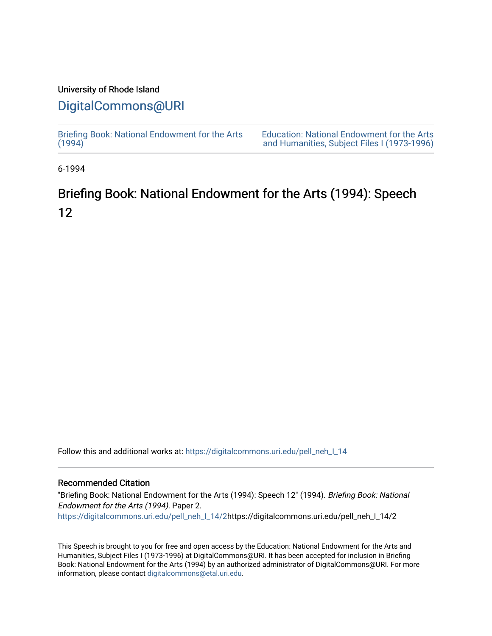### University of Rhode Island

## [DigitalCommons@URI](https://digitalcommons.uri.edu/)

[Briefing Book: National Endowment for the Arts](https://digitalcommons.uri.edu/pell_neh_I_14)  $(1994)$ [Education: National Endowment for the Arts](https://digitalcommons.uri.edu/pell_neh_I)  [and Humanities, Subject Files I \(1973-1996\)](https://digitalcommons.uri.edu/pell_neh_I) 

6-1994

# Briefing Book: National Endowment for the Arts (1994): Speech 12

Follow this and additional works at: [https://digitalcommons.uri.edu/pell\\_neh\\_I\\_14](https://digitalcommons.uri.edu/pell_neh_I_14?utm_source=digitalcommons.uri.edu%2Fpell_neh_I_14%2F2&utm_medium=PDF&utm_campaign=PDFCoverPages) 

### Recommended Citation

"Briefing Book: National Endowment for the Arts (1994): Speech 12" (1994). Briefing Book: National Endowment for the Arts (1994). Paper 2. [https://digitalcommons.uri.edu/pell\\_neh\\_I\\_14/2h](https://digitalcommons.uri.edu/pell_neh_I_14/2?utm_source=digitalcommons.uri.edu%2Fpell_neh_I_14%2F2&utm_medium=PDF&utm_campaign=PDFCoverPages)ttps://digitalcommons.uri.edu/pell\_neh\_I\_14/2

This Speech is brought to you for free and open access by the Education: National Endowment for the Arts and Humanities, Subject Files I (1973-1996) at DigitalCommons@URI. It has been accepted for inclusion in Briefing Book: National Endowment for the Arts (1994) by an authorized administrator of DigitalCommons@URI. For more information, please contact [digitalcommons@etal.uri.edu.](mailto:digitalcommons@etal.uri.edu)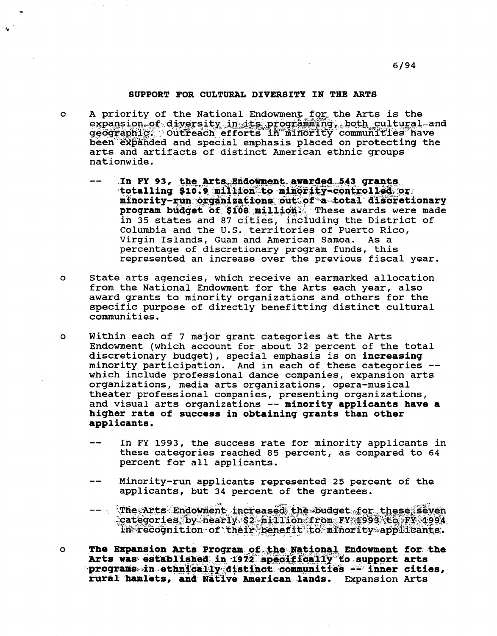#### SUPPORT FOR CULTURAL DIVERSITY IN THE ARTS

à.

- A priority of the National Endowment for the Arts is the  $\circ$ expansion of diversity in its programming, both cultural and geographic. Outreach efforts in minority communities have been expanded and special emphasis placed on protecting the arts and artifacts of distinct American ethnic groups nationwide.
	- In FY 93, the Arts Endowment awarded 543 grants totalling \$10.9 million to minority-controlled or minority-run organizations out of a total discretionary program budget of \$108 million. These awards were made in 35 states and 87 cities, including the District of Columbia and the U.S. territories of Puerto Rico, Virgin Islands, Guam and American Samoa. As a percentage of discretionary program funds, this represented an increase over the previous fiscal year.
- State arts agencies, which receive an earmarked allocation  $\mathbf{o}$ from the National Endowment for the Arts each year, also award grants to minority organizations and others for the specific purpose of directly benefitting distinct cultural communities.
- $\circ$ Within each of 7 major grant categories at the Arts Endowment (which account for about 32 percent of the total discretionary budget), special emphasis is on increasing minority participation. And in each of these categories -which include professional dance companies, expansion arts organizations, media arts organizations, opera-musical theater professional companies, presenting organizations, and visual arts organizations -- minority applicants have a higher rate of success in obtaining grants than other applicants.
	- In FY 1993, the success rate for minority applicants in these categories reached 85 percent, as compared to 64 percent for all applicants.
	- Minority-run applicants represented 25 percent of the applicants, but 34 percent of the grantees.
	- -- The Arts Endowment increased the budget for these seven categories by nearly \$2 million from FY 1993 to FY 1994 in recognition of their benefit to minority applicants.
- The Expansion Arts Program of the National Endowment for the  $\circ$ Arts was established in 1972 specifically to support arts programs in ethnically distinct communities -- inner cities, rural hamlets, and Native American lands. Expansion Arts